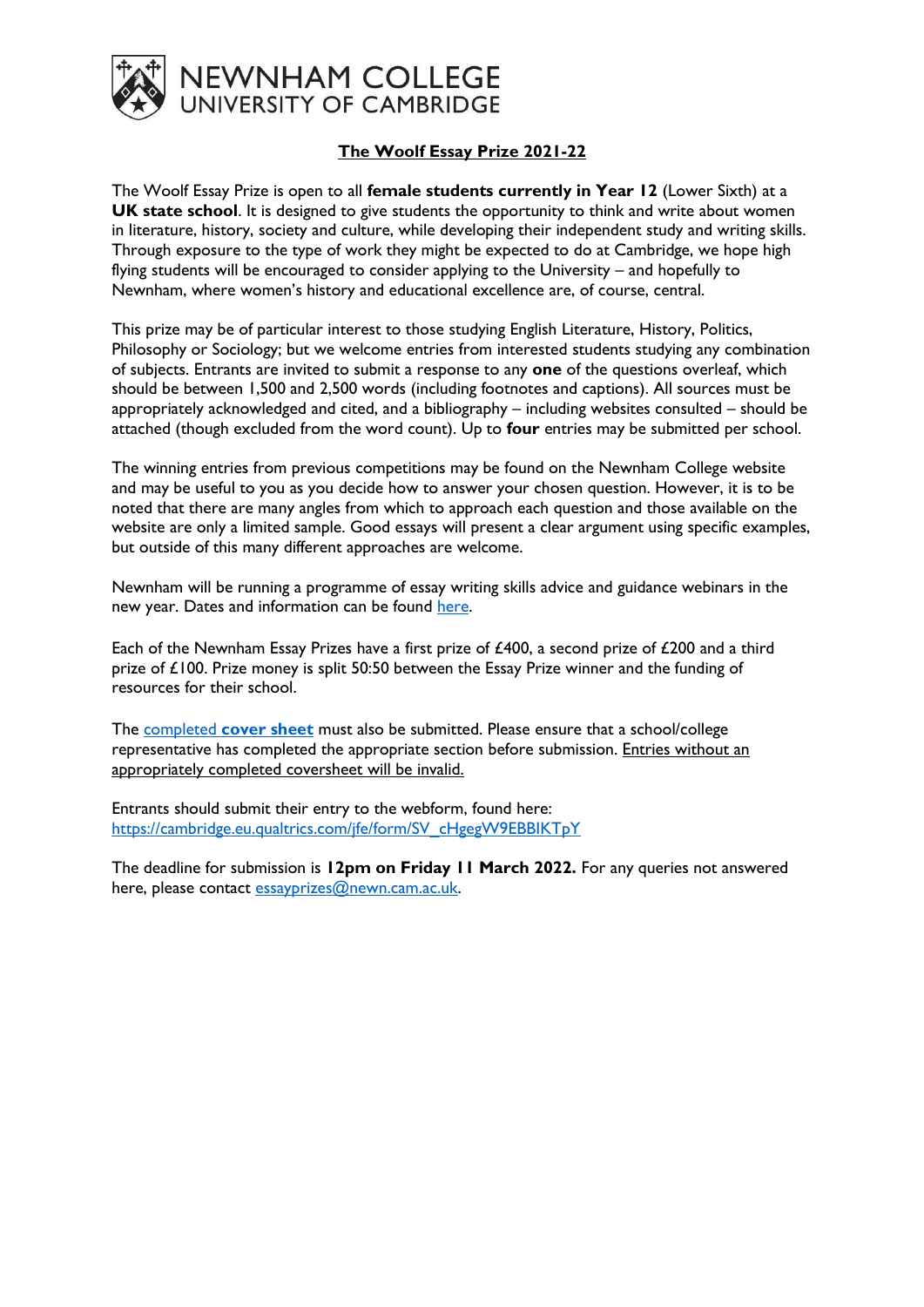

## **The Woolf Essay Prize 2021-22**

The Woolf Essay Prize is open to all **female students currently in Year 12** (Lower Sixth) at a **UK state school**. It is designed to give students the opportunity to think and write about women in literature, history, society and culture, while developing their independent study and writing skills. Through exposure to the type of work they might be expected to do at Cambridge, we hope high flying students will be encouraged to consider applying to the University – and hopefully to Newnham, where women's history and educational excellence are, of course, central.

This prize may be of particular interest to those studying English Literature, History, Politics, Philosophy or Sociology; but we welcome entries from interested students studying any combination of subjects. Entrants are invited to submit a response to any **one** of the questions overleaf, which should be between 1,500 and 2,500 words (including footnotes and captions). All sources must be appropriately acknowledged and cited, and a bibliography – including websites consulted – should be attached (though excluded from the word count). Up to **four** entries may be submitted per school.

The winning entries from previous competitions may be found on the Newnham College website and may be useful to you as you decide how to answer your chosen question. However, it is to be noted that there are many angles from which to approach each question and those available on the website are only a limited sample. Good essays will present a clear argument using specific examples, but outside of this many different approaches are welcome.

Newnham will be running a programme of essay writing skills advice and guidance webinars in the new year. Dates and information can be found [here.](https://newn.cam.ac.uk/admissions/undergraduates/newnham-essay-prizes/)

Each of the Newnham Essay Prizes have a first prize of £400, a second prize of £200 and a third prize of £100. Prize money is split 50:50 between the Essay Prize winner and the funding of resources for their school.

The completed **[cover sheet](https://newn.cam.ac.uk/wp-content/uploads/2022/01/Essay-Prize-Cover-Sheet-2021-22.docx)** must also be submitted. Please ensure that a school/college representative has completed the appropriate section before submission. Entries without an appropriately completed coversheet will be invalid.

Entrants should submit their entry to the webform, found here: [https://cambridge.eu.qualtrics.com/jfe/form/SV\\_cHgegW9EBBIKTpY](https://cambridge.eu.qualtrics.com/jfe/form/SV_cHgegW9EBBIKTpY)

The deadline for submission is **12pm on Friday 11 March 2022.** For any queries not answered here, please contact [essayprizes@newn.cam.ac.uk.](mailto:essayprizes@newn.cam.ac.uk)